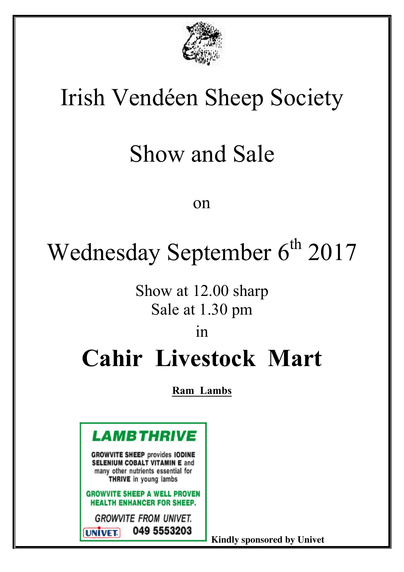

# Irish Vendéen Sheep Society

# Show and Sale

#### on

# Wednesday September 6<sup>th</sup> 2017

## Show at 12.00 sharp Sale at 1.30 pm

#### in

## **Cahir Livestock Mart**

#### **Ram Lambs**



 **Kindly sponsored by Univet**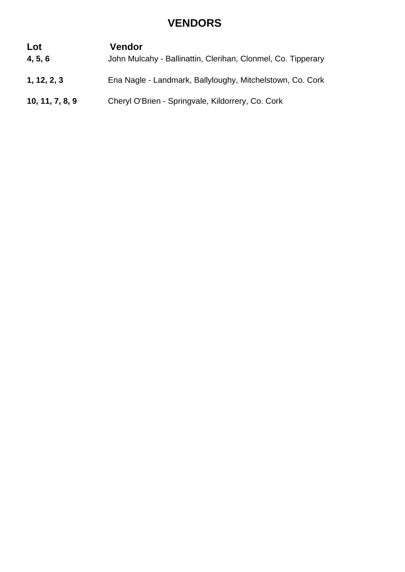#### **VENDORS**

#### **Lot Vendor**

- **4, 5, 6** John Mulcahy Ballinattin, Clerihan, Clonmel, Co. Tipperary
- **1, 12, 2, 3** Ena Nagle Landmark, Ballyloughy, Mitchelstown, Co. Cork
- **10, 11, 7, 8, 9** Cheryl O'Brien Springvale, Kildorrery, Co. Cork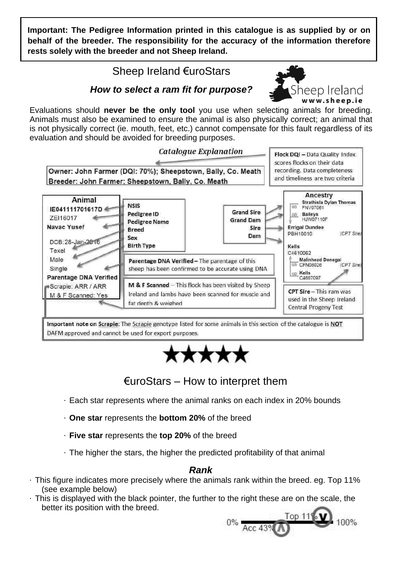**Important: The Pedigree Information printed in this catalogue is as supplied by or on behalf of the breeder. The responsibility for the accuracy of the information therefore rests solely with the breeder and not Sheep Ireland.**

#### Sheep Ireland €uroStars



#### *How to select a ram fit for purpose?*

Evaluations should **never be the only tool** you use when selecting animals for breeding. Animals must also be examined to ensure the animal is also physically correct; an animal that is not physically correct (ie. mouth, feet, etc.) cannot compensate for this fault regardless of its evaluation and should be avoided for breeding purposes.







- Each star represents where the animal ranks on each index in 20% bounds
- **One star** represents the **bottom 20%** of the breed
- **Five star** represents the **top 20%** of the breed
- The higher the stars, the higher the predicted profitability of that animal

#### *Rank*

- This figure indicates more precisely where the animals rank within the breed. eg. Top 11% (see example below)
- This is displayed with the black pointer, the further to the right these are on the scale, the better its position with the breed.

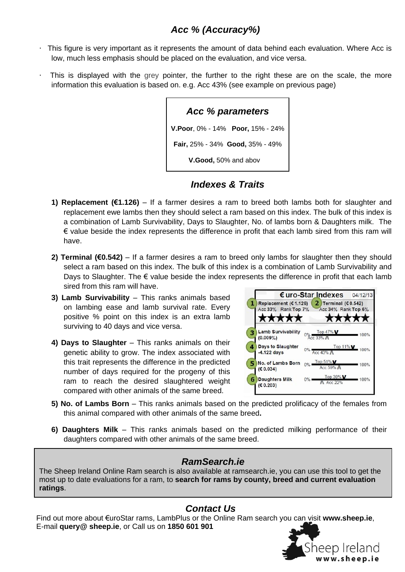#### *Acc % (Accuracy%)*

- This figure is very important as it represents the amount of data behind each evaluation. Where Acc is low, much less emphasis should be placed on the evaluation, and vice versa.
- This is displayed with the grey pointer, the further to the right these are on the scale, the more information this evaluation is based on. e.g. Acc 43% (see example on previous page)

| Acc % parameters                       |
|----------------------------------------|
| V. Poor, 0% - 14% Poor, 15% - 24%      |
| <b>Fair, 25% - 34% Good, 35% - 49%</b> |
| V.Good, 50% and abov                   |

*Indexes & Traits*

- **1) Replacement (€1.126)**  If a farmer desires a ram to breed both lambs both for slaughter and replacement ewe lambs then they should select a ram based on this index. The bulk of this index is a combination of Lamb Survivability, Days to Slaughter, No. of lambs born & Daughters milk. The  $\epsilon$  value beside the index represents the difference in profit that each lamb sired from this ram will have.
- **2) Terminal (€0.542)** If a farmer desires a ram to breed only lambs for slaughter then they should select a ram based on this index. The bulk of this index is a combination of Lamb Survivability and Days to Slaughter. The  $\epsilon$  value beside the index represents the difference in profit that each lamb sired from this ram will have.
- **3) Lamb Survivability** This ranks animals based on lambing ease and lamb survival rate. Every positive % point on this index is an extra lamb surviving to 40 days and vice versa.
- **4) Days to Slaughter** This ranks animals on their genetic ability to grow. The index associated with this trait represents the difference in the predicted number of days required for the progeny of this ram to reach the desired slaughtered weight compared with other animals of the same breed.



- **5) No. of Lambs Born** This ranks animals based on the predicted prolificacy of the females from this animal compared with other animals of the same breed**.**
- **6) Daughters Milk** This ranks animals based on the predicted milking performance of their daughters compared with other animals of the same breed.

#### *RamSearch.ie*

The Sheep Ireland Online Ram search is also available at ramsearch.ie, you can use this tool to get the most up to date evaluations for a ram, to **search for rams by county, breed and current evaluation ratings**.

#### *Contact Us*

 Find out more about €uroStar rams, LambPlus or the Online Ram search you can visit **www.sheep.ie**, E-mail **query@ sheep.ie**, or Call us on **1850 601 901**

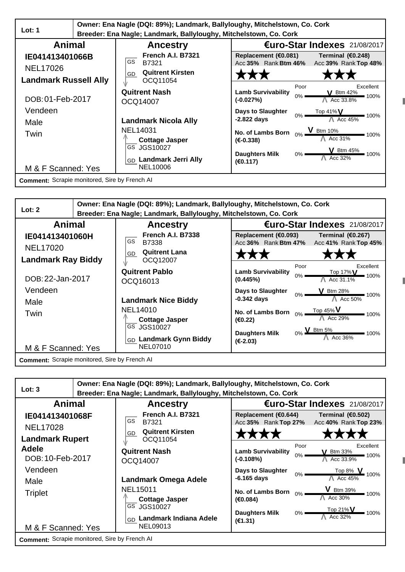|                                                                    | Owner: Ena Nagle (DQI: 89%); Landmark, Ballyloughy, Mitchelstown, Co. Cork |                                                                                       |                                                           |                                                    |
|--------------------------------------------------------------------|----------------------------------------------------------------------------|---------------------------------------------------------------------------------------|-----------------------------------------------------------|----------------------------------------------------|
| Lot: $1$                                                           |                                                                            | Breeder: Ena Nagle; Landmark, Ballyloughy, Mitchelstown, Co. Cork                     |                                                           |                                                    |
| Animal                                                             |                                                                            | <b>Ancestry</b>                                                                       |                                                           | €uro-Star Indexes 21/08/2017                       |
| IE041413401066B<br><b>NEL17026</b><br><b>Landmark Russell Ally</b> |                                                                            | <b>French A.I. B7321</b><br>GS.<br>B7321<br><b>Quitrent Kirsten</b><br>GD<br>OCQ11054 | Replacement (€0.081)<br>Acc 35% Rank Btm 46%              | Terminal (€0.248)<br>Acc 39% Rank Top 48%          |
| DOB: 01-Feb-2017                                                   |                                                                            | <b>Quitrent Nash</b><br>OCQ14007                                                      | Poor<br><b>Lamb Survivability</b><br>$0\%$<br>$(-0.027%)$ | Excellent<br><b>V</b> Btm 42%<br>100%<br>Acc 33.8% |
| Vendeen<br>Male                                                    |                                                                            | <b>Landmark Nicola Ally</b>                                                           | Days to Slaughter<br>0%<br>$-2.822$ days                  | Top 41% $V$<br>100%<br>Acc $45\%$                  |
| Twin                                                               |                                                                            | <b>NEL14031</b><br><b>Cottage Jasper</b>                                              | No. of Lambs Born<br>$(E-0.338)$                          | V Btm 10%<br>100%<br>Acc 31%                       |
| M & F Scanned: Yes                                                 |                                                                            | GS JGS10027<br>GD Landmark Jerri Ally<br><b>NEL10006</b>                              | <b>Daughters Milk</b><br>$0\%$<br>(€0.117)                | <b>V</b> Btm 45%<br>■ 100%<br>Acc 32%              |
| <b>Comment:</b> Scrapie monitored, Sire by French AI               |                                                                            |                                                                                       |                                                           |                                                    |



| Lot: 3                                        |  | Owner: Ena Nagle (DQI: 89%); Landmark, Ballyloughy, Mitchelstown, Co. Cork<br>Breeder: Ena Nagle; Landmark, Ballyloughy, Mitchelstown, Co. Cork |                                              |               |                                               |
|-----------------------------------------------|--|-------------------------------------------------------------------------------------------------------------------------------------------------|----------------------------------------------|---------------|-----------------------------------------------|
| Animal                                        |  | <b>Ancestry</b>                                                                                                                                 |                                              |               | €uro-Star Indexes 21/08/2017                  |
| IE041413401068F<br><b>NEL17028</b>            |  | French A.I. B7321<br><b>GS</b><br>B7321<br><b>Quitrent Kirsten</b>                                                                              | Replacement (€0.644)<br>Acc 35% Rank Top 27% |               | Terminal (€0.502)<br>Acc 40% Rank Top 23%     |
| <b>Landmark Rupert</b>                        |  | GD<br>OCQ11054                                                                                                                                  |                                              |               |                                               |
| Adele<br>DOB: 10-Feb-2017                     |  | <b>Quitrent Nash</b><br>OCQ14007                                                                                                                | <b>Lamb Survivability</b><br>$(-0.108%)$     | Poor<br>$0\%$ | Excellent<br>$V$ Btm 33%<br>100%<br>Acc 33.9% |
| Vendeen<br>Male                               |  | Landmark Omega Adele                                                                                                                            | <b>Days to Slaughter</b><br>$-6.165$ days    | $0\%$         | Top 8% V<br>100%<br>Acc 45%                   |
| <b>Triplet</b>                                |  | <b>NEL15011</b><br><b>Cottage Jasper</b>                                                                                                        | No. of Lambs Born<br>(€0.084)                | $0\%$         | V Btm 39%<br>100%<br>Acc 30%                  |
| M & F Scanned: Yes                            |  | GS JGS10027<br>Landmark Indiana Adele<br>GD<br>NEL09013                                                                                         | <b>Daughters Milk</b><br>(E1.31)             | $0\%$         | $Top 21\%V$<br>100%<br>Acc 32%                |
| Comment: Scrapie monitored, Sire by French AI |  |                                                                                                                                                 |                                              |               |                                               |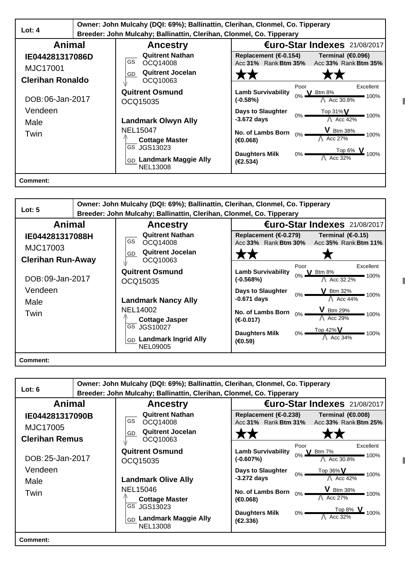|                                                        | Owner: John Mulcahy (DQI: 69%); Ballinattin, Clerihan, Clonmel, Co. Tipperary |                                                                                        |                                                          |                                                              |
|--------------------------------------------------------|-------------------------------------------------------------------------------|----------------------------------------------------------------------------------------|----------------------------------------------------------|--------------------------------------------------------------|
| Lot: $4$                                               |                                                                               | Breeder: John Mulcahy; Ballinattin, Clerihan, Clonmel, Co. Tipperary                   |                                                          |                                                              |
| Animal                                                 |                                                                               | <b>Ancestry</b>                                                                        |                                                          | €uro-Star Indexes 21/08/2017                                 |
| IE044281317086D<br>MJC17001<br><b>Clerihan Ronaldo</b> |                                                                               | <b>Quitrent Nathan</b><br>GS.<br>OCQ14008<br><b>Quitrent Jocelan</b><br>GD<br>OCQ10063 | Replacement ( $\epsilon$ -0.154)<br>Acc 31% Rank Btm 35% | Terminal (€0.096)<br>Acc 33% Rank Btm 35%                    |
| DOB: 06-Jan-2017                                       |                                                                               | <b>Quitrent Osmund</b><br>OCQ15035                                                     | <b>Lamb Survivability</b><br>$(-0.58%)$                  | Poor<br>Excellent<br><b>V</b> Btm $8\%$<br>100%<br>Acc 30.8% |
| Vendeen<br>Male                                        |                                                                               | <b>Landmark Olwyn Ally</b>                                                             | <b>Days to Slaughter</b><br>$-3.672$ days                | Top 31% $V$<br>$0\%$<br>100%<br>Acc 42%                      |
| Twin                                                   |                                                                               | <b>NEL15047</b><br><b>Cottage Master</b>                                               | No. of Lambs Born<br>(€0.068)                            | <b>V</b> Btm 38%<br>$0\%$<br>100%<br>Acc 27%                 |
|                                                        |                                                                               | GS JGS13023<br>GD Landmark Maggie Ally<br><b>NEL13008</b>                              | <b>Daughters Milk</b><br>(E2.534)                        | Top 6% $\mathbf{V}$<br>$0\%$ !<br>Acc 32%                    |
| <b>Comment:</b>                                        |                                                                               |                                                                                        |                                                          |                                                              |

| Lot: $5$                                                | Owner: John Mulcahy (DQI: 69%); Ballinattin, Clerihan, Clonmel, Co. Tipperary<br>Breeder: John Mulcahy; Ballinattin, Clerihan, Clonmel, Co. Tipperary |                                                                                                         |
|---------------------------------------------------------|-------------------------------------------------------------------------------------------------------------------------------------------------------|---------------------------------------------------------------------------------------------------------|
| Animal                                                  | <b>Ancestry</b>                                                                                                                                       | €uro-Star Indexes 21/08/2017                                                                            |
| IE044281317088H<br>MJC17003<br><b>Clerihan Run-Away</b> | <b>Quitrent Nathan</b><br>GS<br>OCQ14008<br><b>Quitrent Jocelan</b><br>GD<br>OCQ10063                                                                 | Replacement ( $\epsilon$ -0.279)<br>Terminal $(E-0.15)$<br>Acc 33% Rank Btm 30%<br>Acc 35% Rank Btm 11% |
| DOB: 09-Jan-2017                                        | <b>Quitrent Osmund</b><br>OCQ15035                                                                                                                    | Poor<br>Excellent<br><b>Lamb Survivability</b><br>0% V Btm 8%<br>■ 100%<br>$(-0.568%)$<br>Acc 32.2%     |
| Vendeen<br>Male                                         | <b>Landmark Nancy Ally</b>                                                                                                                            | Days to Slaughter<br>$V$ Btm 32%<br>$0\%$<br>$-100%$<br>Acc 44%<br>$-0.671$ days                        |
| Twin                                                    | NEL14002<br><b>Cottage Jasper</b>                                                                                                                     | <b>V</b> Btm 29%<br>No. of Lambs Born<br>0%<br>$= 100%$<br>Acc 29%<br>$(E-0.017)$                       |
|                                                         | GS JGS10027<br>GD Landmark Ingrid Ally<br><b>NEL09005</b>                                                                                             | $0\%$ Top 42% V<br><b>Daughters Milk</b><br>100%<br>Acc 34%<br>(€0.59)                                  |
| <b>Comment:</b>                                         |                                                                                                                                                       |                                                                                                         |

| Lot: $6$                          | Owner: John Mulcahy (DQI: 69%); Ballinattin, Clerihan, Clonmel, Co. Tipperary |                                                                      |                                                                                                                 |  |
|-----------------------------------|-------------------------------------------------------------------------------|----------------------------------------------------------------------|-----------------------------------------------------------------------------------------------------------------|--|
|                                   |                                                                               | Breeder: John Mulcahy; Ballinattin, Clerihan, Clonmel, Co. Tipperary |                                                                                                                 |  |
| Animal                            |                                                                               | <b>Ancestry</b>                                                      | €uro-Star Indexes 21/08/2017                                                                                    |  |
| IE044281317090B                   |                                                                               | <b>Quitrent Nathan</b><br>GS<br>OCQ14008                             | Replacement (€-0.238)<br>Terminal (€0.008)<br>Acc 31% Rank Btm 31%<br>Acc 33% Rank Btm 25%                      |  |
| MJC17005<br><b>Clerihan Remus</b> |                                                                               | <b>Quitrent Jocelan</b><br>GD<br>OCQ10063                            |                                                                                                                 |  |
| DOB: 25-Jan-2017                  |                                                                               | <b>Quitrent Osmund</b><br>OCQ15035                                   | Poor<br>Excellent<br><b>Lamb Survivability</b><br><b>V</b> Btm 7%<br>100%<br>Acc 30.8%<br>$(-0.607%)$           |  |
| Vendeen<br>Male                   |                                                                               | <b>Landmark Olive Ally</b>                                           | <b>Days to Slaughter</b><br>Top 36% V<br>0%<br>■ 100%<br>$-3.272$ days<br>Acc 42%                               |  |
| Twin                              |                                                                               | NEL15046<br><b>Cottage Master</b>                                    | <b>V</b> Btm 38%<br>No. of Lambs Born<br>0%<br>100%<br>Acc 27%<br>(€0.068)                                      |  |
|                                   |                                                                               | GS JGS13023<br><b>Landmark Maggie Ally</b><br>GD<br><b>NEL13008</b>  | $\frac{1}{2}$ Top 8% $\sqrt{ }$<br><b>Daughters Milk</b><br>$0\%$ $\blacksquare$<br>100%<br>Acc 32%<br>(E2.336) |  |
| Comment:                          |                                                                               |                                                                      |                                                                                                                 |  |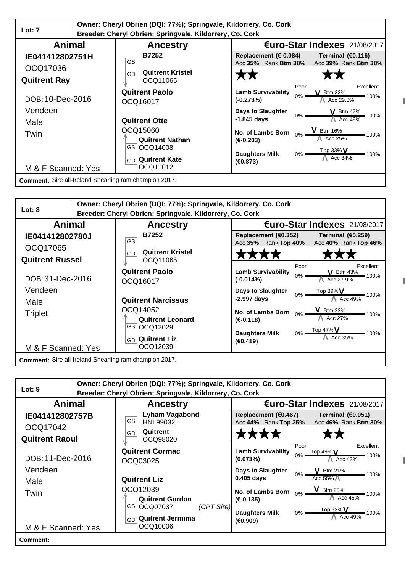|                                                        | Owner: Cheryl Obrien (DQI: 77%); Springvale, Kildorrery, Co. Cork |                                                          |                                                           |                                                     |
|--------------------------------------------------------|-------------------------------------------------------------------|----------------------------------------------------------|-----------------------------------------------------------|-----------------------------------------------------|
| Lot: $7$                                               |                                                                   | Breeder: Cheryl Obrien; Springvale, Kildorrery, Co. Cork |                                                           |                                                     |
| Animal                                                 |                                                                   | <b>Ancestry</b>                                          |                                                           | €uro-Star Indexes 21/08/2017                        |
| IE041412802751H                                        |                                                                   | <b>B7252</b><br>GS                                       | Replacement (€-0.084)<br>Acc 35% Rank Btm 38%             | Terminal $(60.116)$<br>Acc 39% Rank Btm 38%         |
| OCQ17036<br><b>Quitrent Ray</b>                        |                                                                   | <b>Quitrent Kristel</b><br>GD<br>OCQ11065                |                                                           |                                                     |
| DOB: 10-Dec-2016                                       |                                                                   | <b>Quitrent Paolo</b><br>OCQ16017                        | Poor<br><b>Lamb Survivability</b><br>$0\%$<br>$(-0.273%)$ | Excellent<br>$\sqrt{}$ Btm 22%<br>100%<br>Acc 29.8% |
| Vendeen<br>Male                                        |                                                                   | <b>Quitrent Otte</b>                                     | <b>Days to Slaughter</b><br>$0\%$<br>-1.845 days          | V Btm 47%<br>100%<br>Acc 48%                        |
| Twin                                                   |                                                                   | OCQ15060<br><b>Quitrent Nathan</b>                       | No. of Lambs Born<br>$(E-0.203)$                          | <b>V</b> Btm 16%<br>100%<br>Acc 25%                 |
| M & F Scanned: Yes                                     |                                                                   | GS OCQ14008<br><b>Quitrent Kate</b><br>GD<br>OCQ11012    | <b>Daughters Milk</b><br>$0\%$<br>(€0.873)                | Top 33% $V$<br>100%<br>Acc 34%                      |
| Comment: Sire all-Ireland Shearling ram champion 2017. |                                                                   |                                                          |                                                           |                                                     |



|                                   | Owner: Cheryl Obrien (DQI: 77%); Springvale, Kildorrery, Co. Cork |                                                                                                        |
|-----------------------------------|-------------------------------------------------------------------|--------------------------------------------------------------------------------------------------------|
| Lot: 9                            | Breeder: Cheryl Obrien; Springvale, Kildorrery, Co. Cork          |                                                                                                        |
| Animal                            | <b>Ancestry</b>                                                   | €uro-Star Indexes 21/08/2017                                                                           |
| IE041412802757B                   | <b>Lyham Vagabond</b><br>GS<br>HNL99032                           | Replacement (€0.467)<br>Terminal $(60.051)$<br>Acc 44% Rank Top 35%<br>Acc 46% Rank Btm 30%            |
| OCQ17042<br><b>Quitrent Raoul</b> | Quitrent<br>GD<br>OCQ98020                                        |                                                                                                        |
| DOB: 11-Dec-2016                  | <b>Quitrent Cormac</b><br>OCQ03025                                | Poor<br>Excellent<br><b>Lamb Survivability</b><br>Top $49\%$ V<br>$0\%$<br>100%<br>Acc 43%<br>(0.073%) |
| Vendeen<br>Male                   | <b>Quitrent Liz</b>                                               | Days to Slaughter<br>$V$ Btm 21%<br>0%<br>100%<br>Acc 55%<br>$0.405$ days                              |
| Twin                              | OCQ12039<br><b>Quitrent Gordon</b>                                | V Btm 20%<br>No. of Lambs Born<br>100%<br>Acc 46%<br>$(E-0.135)$                                       |
| M & F Scanned: Yes                | GS OCQ07037<br>(CPT Sire)<br>GD Quitrent Jermima<br>OCQ10006      | Top 32% V<br><b>Daughters Milk</b><br>$0\%$<br>100%<br>Acc $49\%$<br>(€0.909)                          |
| Comment:                          |                                                                   |                                                                                                        |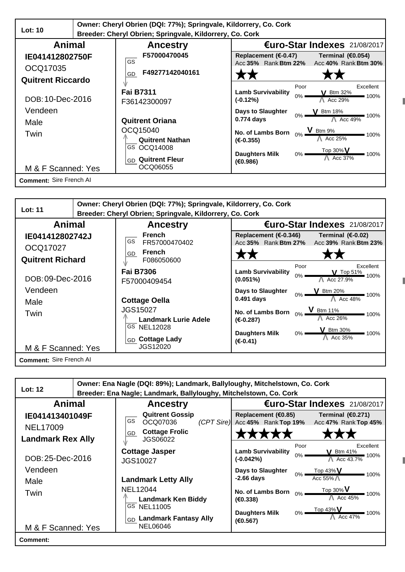|                          | Owner: Cheryl Obrien (DQI: 77%); Springvale, Kildorrery, Co. Cork |                                                          |                                 |                                           |
|--------------------------|-------------------------------------------------------------------|----------------------------------------------------------|---------------------------------|-------------------------------------------|
| <b>Lot: 10</b>           |                                                                   | Breeder: Cheryl Obrien; Springvale, Kildorrery, Co. Cork |                                 |                                           |
| Animal                   |                                                                   | <b>Ancestry</b>                                          |                                 | €uro-Star Indexes 21/08/2017              |
| IE041412802750F          |                                                                   | F57000470045<br>GS                                       | Replacement ( $\epsilon$ -0.47) | Terminal (€0.054)                         |
| OCQ17035                 |                                                                   | F49277142040161<br>GD                                    | Acc 35% Rank Btm 22%            | Acc 40% Rank Btm 30%                      |
| <b>Quitrent Riccardo</b> |                                                                   |                                                          |                                 |                                           |
|                          |                                                                   | <b>Fai B7311</b>                                         | <b>Lamb Survivability</b>       | Excellent<br>Poor<br>V Btm 32%            |
| DOB: 10-Dec-2016         |                                                                   | F36142300097                                             | (-0.12%)                        | $0\%$<br>100%<br>Acc 29%                  |
| Vendeen                  |                                                                   |                                                          | Days to Slaughter               | $V$ Btm 18%<br>100%                       |
| Male                     |                                                                   | <b>Quitrent Oriana</b>                                   | 0.774 days                      | Acc $49\%$                                |
| Twin                     |                                                                   | OCQ15040                                                 | No. of Lambs Born               | 0% V Btm 9%<br>100%                       |
|                          |                                                                   | <b>Quitrent Nathan</b><br>GS OCQ14008                    | $(E-0.355)$                     | Acc 25%                                   |
|                          |                                                                   |                                                          | <b>Daughters Milk</b>           | Top 30% $V$<br>$0\%$<br>100%<br>A Acc 37% |
| M & F Scanned: Yes       |                                                                   | GD Quitrent Fleur<br>OCQ06055                            | (€0.986)                        |                                           |
| Comment: Sire French Al  |                                                                   |                                                          |                                 |                                           |

| <b>Lot: 11</b>          | Owner: Cheryl Obrien (DQI: 77%); Springvale, Kildorrery, Co. Cork |                                  |                               |
|-------------------------|-------------------------------------------------------------------|----------------------------------|-------------------------------|
|                         | Breeder: Cheryl Obrien; Springvale, Kildorrery, Co. Cork          |                                  |                               |
| Animal                  | <b>Ancestry</b>                                                   |                                  | €uro-Star Indexes 21/08/2017  |
| IE041412802742J         | <b>French</b><br>GS                                               | Replacement ( $\epsilon$ -0.346) | Terminal $(E-0.02)$           |
| OCQ17027                | FR57000470402                                                     | Acc 35% Rank Btm 27%             | Acc 39% Rank Btm 23%          |
|                         | <b>French</b><br>GD                                               |                                  |                               |
| <b>Quitrent Richard</b> | F086050600                                                        |                                  | Poor<br>Excellent             |
|                         | <b>Fai B7306</b>                                                  | <b>Lamb Survivability</b>        | V Top 51% 100%                |
| DOB: 09-Dec-2016        | F57000409454                                                      | $0\%$<br>$(0.051\%)$             | Acc 27.9%                     |
| Vendeen                 |                                                                   | <b>Days to Slaughter</b>         | $V$ Btm 20%                   |
| Male                    | <b>Cottage Oella</b>                                              | $0\%$<br>0.491 days              | $=$ 100%<br>Acc 48%           |
|                         | <b>JGS15027</b>                                                   | No. of Lambs Born                | $V$ Btm 11%                   |
| Twin                    | <b>Landmark Lurie Adele</b>                                       | $(E-0.287)$                      | 100%<br>Acc 26%               |
|                         | GS NEL12028                                                       |                                  |                               |
|                         |                                                                   | <b>Daughters Milk</b><br>$0\%$   | Btm 30%<br>$-100%$<br>Acc 35% |
|                         | GD Cottage Lady<br>JGS12020                                       | $(E-0.41)$                       |                               |
| M & F Scanned: Yes      |                                                                   |                                  |                               |
| Comment: Sire French Al |                                                                   |                                  |                               |

|                                              | Owner: Ena Nagle (DQI: 89%); Landmark, Ballyloughy, Mitchelstown, Co. Cork     |                                                           |                                               |
|----------------------------------------------|--------------------------------------------------------------------------------|-----------------------------------------------------------|-----------------------------------------------|
| Lot: 12                                      | Breeder: Ena Nagle; Landmark, Ballyloughy, Mitchelstown, Co. Cork              |                                                           |                                               |
| Animal                                       | <b>Ancestry</b>                                                                |                                                           | €uro-Star Indexes 21/08/2017                  |
| IE041413401049F<br><b>NEL17009</b>           | <b>Quitrent Gossip</b><br><b>GS</b><br>OCQ07036<br><b>Cottage Frolic</b><br>GD | Replacement $(6.85)$<br>(CPT Sire) Acc 45% Rank Top 19%   | Terminal $(60.271)$<br>Acc 47% Rank Top 45%   |
| <b>Landmark Rex Ally</b><br>DOB: 25-Dec-2016 | JGS06022<br><b>Cottage Jasper</b><br><b>JGS10027</b>                           | Poor<br><b>Lamb Survivability</b><br>$0\%$<br>$(-0.042%)$ | Excellent<br>V Btm 41%<br>■ 100%<br>Acc 43.7% |
| Vendeen<br>Male                              | <b>Landmark Letty Ally</b>                                                     | Days to Slaughter<br>$0\%$ $\blacksquare$<br>$-2.66$ days | Top 43% $V$<br>100%<br>Acc 55% A              |
| Twin                                         | NEL12044<br><b>Landmark Ken Biddy</b>                                          | No. of Lambs Born<br>$0\% =$<br>(€0.338)                  | Top 30% $V$<br>$-100%$<br>Acc 45%             |
| M & F Scanned: Yes                           | GS NEL11005<br>GD Landmark Fantasy Ally<br><b>NEL06046</b>                     | <b>Daughters Milk</b><br>$0\%$<br>(€0.567)                | $Top 43\%$ V<br>100%<br>Acc 47%               |
| <b>Comment:</b>                              |                                                                                |                                                           |                                               |